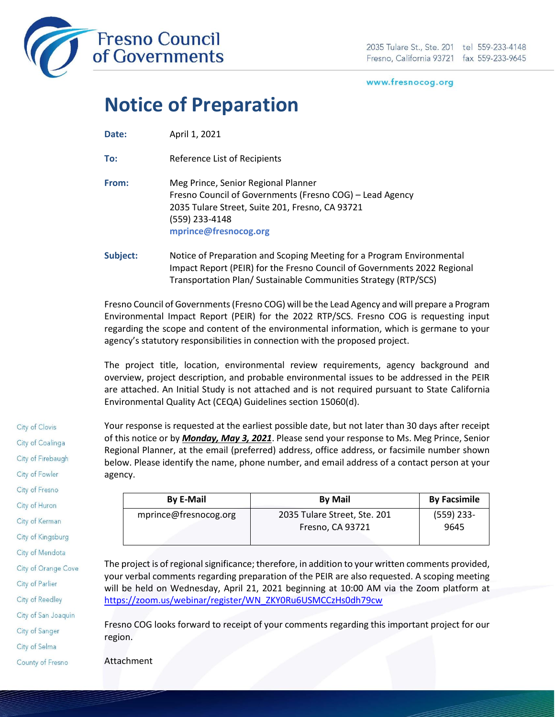

#### www.fresnocog.org

# **Notice of Preparation**

**Date:** April 1, 2021

**To:** Reference List of Recipients

**From:** Meg Prince, Senior Regional Planner Fresno Council of Governments (Fresno COG) – Lead Agency 2035 Tulare Street, Suite 201, Fresno, CA 93721 (559) 233-4148 **mprince@fresnocog.org**

**Subject:** Notice of Preparation and Scoping Meeting for a Program Environmental Impact Report (PEIR) for the Fresno Council of Governments 2022 Regional Transportation Plan/ Sustainable Communities Strategy (RTP/SCS)

Fresno Council of Governments (Fresno COG) will be the Lead Agency and will prepare a Program Environmental Impact Report (PEIR) for the 2022 RTP/SCS. Fresno COG is requesting input regarding the scope and content of the environmental information, which is germane to your agency's statutory responsibilities in connection with the proposed project.

The project title, location, environmental review requirements, agency background and overview, project description, and probable environmental issues to be addressed in the PEIR are attached. An Initial Study is not attached and is not required pursuant to State California Environmental Quality Act (CEQA) Guidelines section 15060(d).

Your response is requested at the earliest possible date, but not later than 30 days after receipt of this notice or by *Monday, May 3, 2021*. Please send your response to Ms. Meg Prince, Senior Regional Planner, at the email (preferred) address, office address, or facsimile number shown below. Please identify the name, phone number, and email address of a contact person at your agency.

| <b>By E-Mail</b>      | <b>By Mail</b>                                   | <b>By Facsimile</b>  |
|-----------------------|--------------------------------------------------|----------------------|
| mprince@fresnocog.org | 2035 Tulare Street, Ste. 201<br>Fresno, CA 93721 | $(559)$ 233-<br>9645 |

The project is of regional significance; therefore, in addition to your written comments provided, your verbal comments regarding preparation of the PEIR are also requested. A scoping meeting will be held on Wednesday, April 21, 2021 beginning at 10:00 AM via the Zoom platform at [https://zoom.us/webinar/register/WN\\_ZKY0Ru6USMCCzHs0dh79cw](https://zoom.us/webinar/register/WN_ZKY0Ru6USMCCzHs0dh79cw)

Fresno COG looks forward to receipt of your comments regarding this important project for our region.

Attachment

City of Coalinga City of Firebaugh City of Fowler City of Fresno City of Huron City of Kerman City of Kingsburg City of Mendota City of Orange Cove City of Parlier **City of Reedley** City of San Joaquin City of Sanger

City of Selma County of Fresno

City of Clovis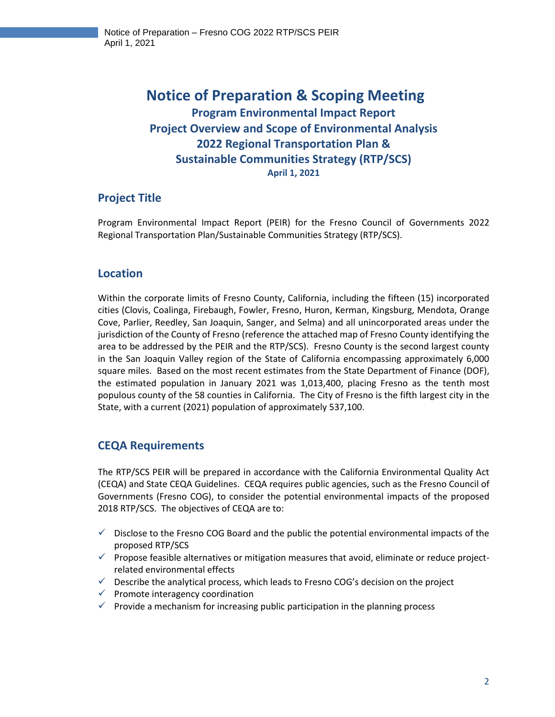# **Notice of Preparation & Scoping Meeting Program Environmental Impact Report Project Overview and Scope of Environmental Analysis 2022 Regional Transportation Plan & Sustainable Communities Strategy (RTP/SCS) April 1, 2021**

#### **Project Title**

Program Environmental Impact Report (PEIR) for the Fresno Council of Governments 2022 Regional Transportation Plan/Sustainable Communities Strategy (RTP/SCS).

#### **Location**

Within the corporate limits of Fresno County, California, including the fifteen (15) incorporated cities (Clovis, Coalinga, Firebaugh, Fowler, Fresno, Huron, Kerman, Kingsburg, Mendota, Orange Cove, Parlier, Reedley, San Joaquin, Sanger, and Selma) and all unincorporated areas under the jurisdiction of the County of Fresno (reference the attached map of Fresno County identifying the area to be addressed by the PEIR and the RTP/SCS). Fresno County is the second largest county in the San Joaquin Valley region of the State of California encompassing approximately 6,000 square miles. Based on the most recent estimates from the State Department of Finance (DOF), the estimated population in January 2021 was 1,013,400, placing Fresno as the tenth most populous county of the 58 counties in California. The City of Fresno is the fifth largest city in the State, with a current (2021) population of approximately 537,100.

### **CEQA Requirements**

The RTP/SCS PEIR will be prepared in accordance with the California Environmental Quality Act (CEQA) and State CEQA Guidelines. CEQA requires public agencies, such as the Fresno Council of Governments (Fresno COG), to consider the potential environmental impacts of the proposed 2018 RTP/SCS. The objectives of CEQA are to:

- $\checkmark$  Disclose to the Fresno COG Board and the public the potential environmental impacts of the proposed RTP/SCS
- $\checkmark$  Propose feasible alternatives or mitigation measures that avoid, eliminate or reduce projectrelated environmental effects
- $\checkmark$  Describe the analytical process, which leads to Fresno COG's decision on the project
- $\checkmark$  Promote interagency coordination
- $\checkmark$  Provide a mechanism for increasing public participation in the planning process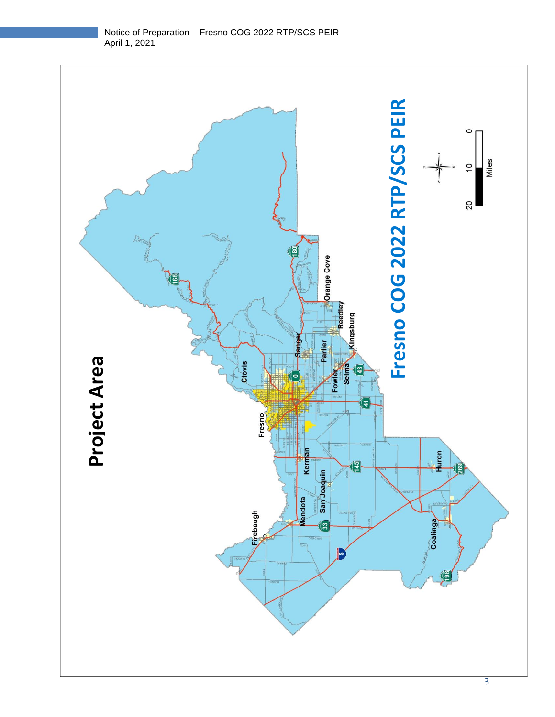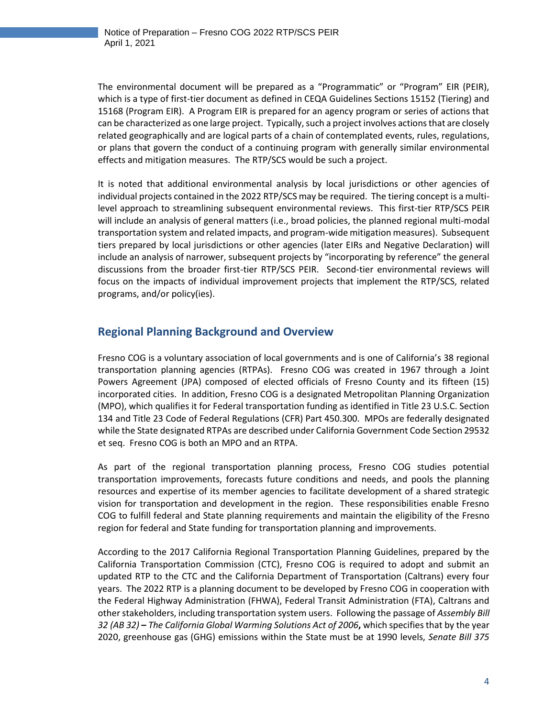The environmental document will be prepared as a "Programmatic" or "Program" EIR (PEIR), which is a type of first-tier document as defined in CEQA Guidelines Sections 15152 (Tiering) and 15168 (Program EIR). A Program EIR is prepared for an agency program or series of actions that can be characterized as one large project. Typically, such a project involves actions that are closely related geographically and are logical parts of a chain of contemplated events, rules, regulations, or plans that govern the conduct of a continuing program with generally similar environmental effects and mitigation measures. The RTP/SCS would be such a project.

It is noted that additional environmental analysis by local jurisdictions or other agencies of individual projects contained in the 2022 RTP/SCS may be required. The tiering concept is a multilevel approach to streamlining subsequent environmental reviews. This first-tier RTP/SCS PEIR will include an analysis of general matters (i.e., broad policies, the planned regional multi-modal transportation system and related impacts, and program-wide mitigation measures). Subsequent tiers prepared by local jurisdictions or other agencies (later EIRs and Negative Declaration) will include an analysis of narrower, subsequent projects by "incorporating by reference" the general discussions from the broader first-tier RTP/SCS PEIR. Second-tier environmental reviews will focus on the impacts of individual improvement projects that implement the RTP/SCS, related programs, and/or policy(ies).

#### **Regional Planning Background and Overview**

Fresno COG is a voluntary association of local governments and is one of California's 38 regional transportation planning agencies (RTPAs). Fresno COG was created in 1967 through a Joint Powers Agreement (JPA) composed of elected officials of Fresno County and its fifteen (15) incorporated cities. In addition, Fresno COG is a designated Metropolitan Planning Organization (MPO), which qualifies it for Federal transportation funding as identified in Title 23 U.S.C. Section 134 and Title 23 Code of Federal Regulations (CFR) Part 450.300. MPOs are federally designated while the State designated RTPAs are described under California Government Code Section 29532 et seq. Fresno COG is both an MPO and an RTPA.

As part of the regional transportation planning process, Fresno COG studies potential transportation improvements, forecasts future conditions and needs, and pools the planning resources and expertise of its member agencies to facilitate development of a shared strategic vision for transportation and development in the region. These responsibilities enable Fresno COG to fulfill federal and State planning requirements and maintain the eligibility of the Fresno region for federal and State funding for transportation planning and improvements.

According to the 2017 California Regional Transportation Planning Guidelines, prepared by the California Transportation Commission (CTC), Fresno COG is required to adopt and submit an updated RTP to the CTC and the California Department of Transportation (Caltrans) every four years. The 2022 RTP is a planning document to be developed by Fresno COG in cooperation with the Federal Highway Administration (FHWA), Federal Transit Administration (FTA), Caltrans and other stakeholders, including transportation system users. Following the passage of *Assembly Bill 32 (AB 32)* **–** *The California Global Warming Solutions Act of 2006***,** which specifies that by the year 2020, greenhouse gas (GHG) emissions within the State must be at 1990 levels, *Senate Bill 375*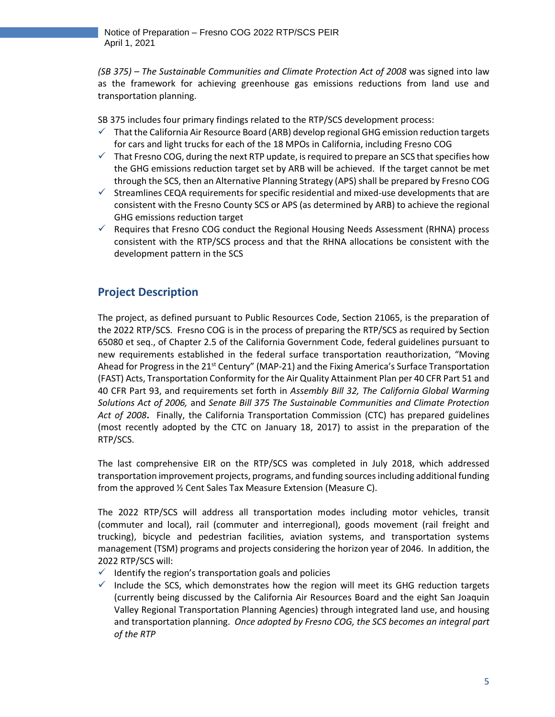*(SB 375) – The Sustainable Communities and Climate Protection Act of 2008* was signed into law as the framework for achieving greenhouse gas emissions reductions from land use and transportation planning.

SB 375 includes four primary findings related to the RTP/SCS development process:

- $\checkmark$  That the California Air Resource Board (ARB) develop regional GHG emission reduction targets for cars and light trucks for each of the 18 MPOs in California, including Fresno COG
- $\checkmark$  That Fresno COG, during the next RTP update, is required to prepare an SCS that specifies how the GHG emissions reduction target set by ARB will be achieved. If the target cannot be met through the SCS, then an Alternative Planning Strategy (APS) shall be prepared by Fresno COG
- $\checkmark$  Streamlines CEQA requirements for specific residential and mixed-use developments that are consistent with the Fresno County SCS or APS (as determined by ARB) to achieve the regional GHG emissions reduction target
- $\checkmark$  Requires that Fresno COG conduct the Regional Housing Needs Assessment (RHNA) process consistent with the RTP/SCS process and that the RHNA allocations be consistent with the development pattern in the SCS

# **Project Description**

The project, as defined pursuant to Public Resources Code, Section 21065, is the preparation of the 2022 RTP/SCS. Fresno COG is in the process of preparing the RTP/SCS as required by Section 65080 et seq., of Chapter 2.5 of the California Government Code, federal guidelines pursuant to new requirements established in the federal surface transportation reauthorization, "Moving Ahead for Progress in the 21<sup>st</sup> Century" (MAP-21) and the Fixing America's Surface Transportation (FAST) Acts, Transportation Conformity for the Air Quality Attainment Plan per 40 CFR Part 51 and 40 CFR Part 93, and requirements set forth in *Assembly Bill 32, The California Global Warming Solutions Act of 2006,* and *Senate Bill 375 The Sustainable Communities and Climate Protection Act of 2008***.** Finally, the California Transportation Commission (CTC) has prepared guidelines (most recently adopted by the CTC on January 18, 2017) to assist in the preparation of the RTP/SCS.

The last comprehensive EIR on the RTP/SCS was completed in July 2018, which addressed transportation improvement projects, programs, and funding sources including additional funding from the approved ½ Cent Sales Tax Measure Extension (Measure C).

The 2022 RTP/SCS will address all transportation modes including motor vehicles, transit (commuter and local), rail (commuter and interregional), goods movement (rail freight and trucking), bicycle and pedestrian facilities, aviation systems, and transportation systems management (TSM) programs and projects considering the horizon year of 2046. In addition, the 2022 RTP/SCS will:

- $\checkmark$  Identify the region's transportation goals and policies
- $\checkmark$  Include the SCS, which demonstrates how the region will meet its GHG reduction targets (currently being discussed by the California Air Resources Board and the eight San Joaquin Valley Regional Transportation Planning Agencies) through integrated land use, and housing and transportation planning. *Once adopted by Fresno COG, the SCS becomes an integral part of the RTP*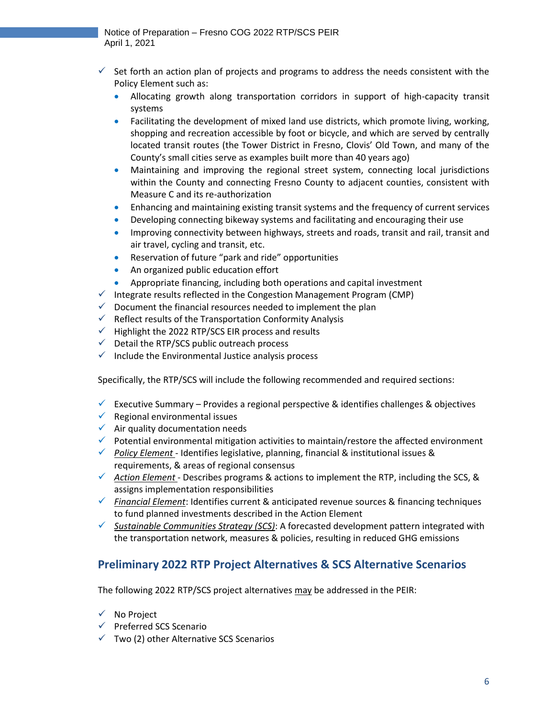- $\checkmark$  Set forth an action plan of projects and programs to address the needs consistent with the Policy Element such as:
	- Allocating growth along transportation corridors in support of high-capacity transit systems
	- Facilitating the development of mixed land use districts, which promote living, working, shopping and recreation accessible by foot or bicycle, and which are served by centrally located transit routes (the Tower District in Fresno, Clovis' Old Town, and many of the County's small cities serve as examples built more than 40 years ago)
	- Maintaining and improving the regional street system, connecting local jurisdictions within the County and connecting Fresno County to adjacent counties, consistent with Measure C and its re-authorization
	- Enhancing and maintaining existing transit systems and the frequency of current services
	- Developing connecting bikeway systems and facilitating and encouraging their use
	- Improving connectivity between highways, streets and roads, transit and rail, transit and air travel, cycling and transit, etc.
	- Reservation of future "park and ride" opportunities
	- An organized public education effort
	- Appropriate financing, including both operations and capital investment
- $\checkmark$  Integrate results reflected in the Congestion Management Program (CMP)
- $\checkmark$  Document the financial resources needed to implement the plan
- $\checkmark$  Reflect results of the Transportation Conformity Analysis
- $\checkmark$  Highlight the 2022 RTP/SCS EIR process and results
- $\checkmark$  Detail the RTP/SCS public outreach process
- $\checkmark$  Include the Environmental Justice analysis process

Specifically, the RTP/SCS will include the following recommended and required sections:

- $\checkmark$  Executive Summary Provides a regional perspective & identifies challenges & objectives
- $\checkmark$  Regional environmental issues
- $\checkmark$  Air quality documentation needs
- $\checkmark$  Potential environmental mitigation activities to maintain/restore the affected environment
- ✓ *Policy Element*  Identifies legislative, planning, financial & institutional issues & requirements, & areas of regional consensus
- ✓ *Action Element*  Describes programs & actions to implement the RTP, including the SCS, & assigns implementation responsibilities
- ✓ *Financial Element*: Identifies current & anticipated revenue sources & financing techniques to fund planned investments described in the Action Element
- ✓ *Sustainable Communities Strategy (SCS)*: A forecasted development pattern integrated with the transportation network, measures & policies, resulting in reduced GHG emissions

# **Preliminary 2022 RTP Project Alternatives & SCS Alternative Scenarios**

The following 2022 RTP/SCS project alternatives may be addressed in the PEIR:

- ✓ No Project
- ✓ Preferred SCS Scenario
- $\checkmark$  Two (2) other Alternative SCS Scenarios